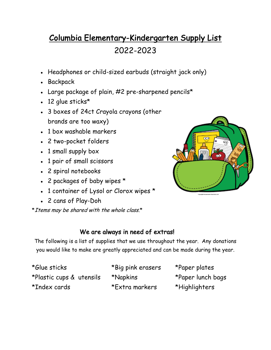## Columbia Elementary-Kindergarten Supply List 2022-2023

- Headphones or child-sized earbuds (straight jack only)
- Backpack
- Large package of plain,  $#2$  pre-sharpened pencils\*
- $\cdot$  12 glue sticks\*
- 3 boxes of 24ct Crayola crayons (other brands are too waxy)
- $\bullet$  1 box washable markers
- 2 two-pocket folders
- 1 small supply box
- 1 pair of small scissors
- 2 spiral notebooks
- 2 packages of baby wipes \*
- 1 container of Lysol or Clorox wipes \*
- 2 cans of Play-Doh

\* Items may be shared with the whole class.\*



## We are always in need of extras!

The following is a list of supplies that we use throughout the year. Any donations you would like to make are greatly appreciated and can be made during the year.

\*Glue sticks \*Big pink erasers \*Paper plates \*Plastic cups & utensils \*Napkins \*Paper lunch bags \*Index cards \*Extra markers \*Highlighters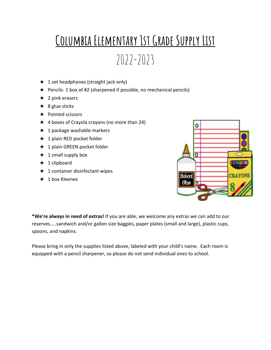## **Columbia Elementary 1st Grade Supply List**

 $2022-2023$ 

- $\star$  1 set headphones (straight jack only)
- $\star$  Pencils- 1 box of #2 (sharpened if possible, no mechanical pencils)
- $\star$  2 pink erasers
- $\star$  8 glue sticks
- ★ Pointed scissors
- $\star$  4 boxes of Crayola crayons (no more than 24)
- $\star$  1 package washable markers
- $\star$  1 plain RED pocket folder
- **★ 1 plain GREEN pocket folder**
- $\star$  1 small supply box
- $\star$  1 clipboard
- $\star$  1 container disinfectant wipes
- $\star$  1 box Kleenex



**\*We're always in need of extras!** If you are able, we welcome any extras we can add to our reserves…..sandwich and/or gallon size baggies, paper plates (small and large), plastic cups, spoons, and napkins.

Please bring in only the supplies listed above, labeled with your child's name. Each room is equipped with a pencil sharpener, so please do not send individual ones to school.